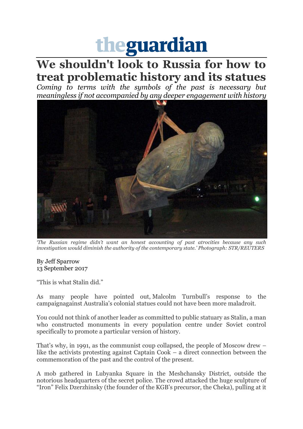## theguardian

## **We shouldn't look to Russia for how to treat problematic history and its statues**

*Coming to terms with the symbols of the past is necessary but meaningless if not accompanied by any deeper engagement with history*



*'The Russian regime didn't want an honest accounting of past atrocities because any such investigation would diminish the authority of the contemporary state.' Photograph: STR/REUTERS*

## By [Jeff Sparrow](https://www.theguardian.com/profile/jeff-sparrow) 13 September 2017

"This is what Stalin did."

As many people have pointed out, Malcolm Turnbull's response to the campaignagainst Australia's colonial statues could not have been more maladroit.

You could not think of another leader as committed to public statuary as Stalin, a man who constructed monuments in every population centre under Soviet control specifically to promote a particular version of history.

That's why, in 1991, as the communist coup collapsed, the people of Moscow drew – like the activists protesting against Captain Cook – a direct connection between the commemoration of the past and the control of the present.

A mob gathered in Lubyanka Square in the Meshchansky District, outside the notorious headquarters of the secret police. The crowd attacked the huge sculpture of "Iron" Felix Dzerzhinsky (the founder of the KGB's precursor, the Cheka), pulling at it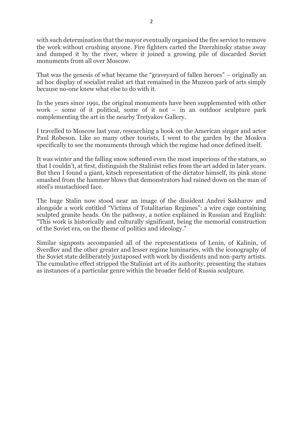with such determination that the mayor eventually organised the fire service to remove the work without crushing anyone. Fire fighters carted the Dzerzhinsky statue away and dumped it by the river, where it joined a growing pile of discarded Soviet monuments from all over Moscow.

That was the genesis of what became the "graveyard of fallen heroes" – originally an ad hoc display of socialist realist art that remained in the Muzeon park of arts simply because no-one knew what else to do with it.

In the years since 1991, the original monuments have been supplemented with other work – some of it political, some of it not – in an outdoor sculpture park complementing the art in the nearby Tretyakov Gallery.

I travelled to Moscow last year, researching a book on the American singer and actor Paul Robeson. Like so many other tourists, I went to the garden by the Moskva specifically to see the monuments through which the regime had once defined itself.

It was winter and the falling snow softened even the most imperious of the statues, so that I couldn't, at first, distinguish the Stalinist relics from the art added in later years. But then I found a giant, kitsch representation of the dictator himself, its pink stone smashed from the hammer blows that demonstrators had rained down on the man of steel's mustachioed face.

The huge Stalin now stood near an image of the dissident Andrei Sakharov and alongside a work entitled "Victims of Totalitarian Regimes": a wire cage containing sculpted granite heads. On the pathway, a notice explained in Russian and English: "This work is historically and culturally significant, being the memorial construction of the Soviet era, on the theme of politics and ideology."

Similar signposts accompanied all of the representations of Lenin, of Kalinin, of Sverdlov and the other greater and lesser regime luminaries, with the iconography of the Soviet state deliberately juxtaposed with work by dissidents and non-party artists. The cumulative effect stripped the Stalinist art of its authority, presenting the statues as instances of a particular genre within the broader field of Russia sculpture.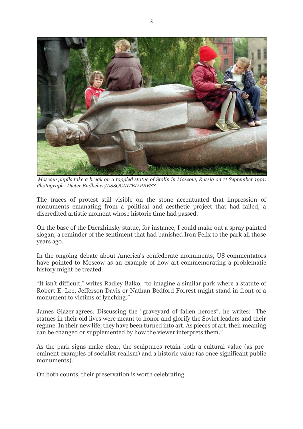

*Moscow pupils take a break on a toppled statue of Stalin in Moscow, Russia on 11 September 1991. Photograph: Dieter Endlicher/ASSOCIATED PRESS*

The traces of protest still visible on the stone accentuated that impression of monuments emanating from a political and aesthetic project that had failed, a discredited artistic moment whose historic time had passed.

On the base of the Dzerzhinsky statue, for instance, I could make out a spray painted slogan, a reminder of the sentiment that had banished Iron Felix to the park all those years ago.

In the ongoing debate about America's confederate monuments, US commentators have pointed to Moscow as an example of how art commemorating a problematic history might be treated.

"It isn't difficult," writes Radley Balko, "to imagine a similar park where a statute of Robert E. Lee, Jefferson Davis or Nathan Bedford Forrest might stand in front of a monument to victims of lynching."

James Glazer agrees. Discussing the "graveyard of fallen heroes", he writes: "The statues in their old lives were meant to honor and glorify the Soviet leaders and their regime. In their new life, they have been turned into art. As pieces of art, their meaning can be changed or supplemented by how the viewer interprets them."

As the park signs make clear, the sculptures retain both a cultural value (as preeminent examples of socialist realism) and a historic value (as once significant public monuments).

On both counts, their preservation is worth celebrating.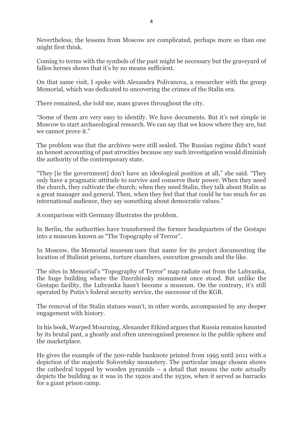Nevertheless, the lessons from Moscow are complicated, perhaps more so than one might first think.

Coming to terms with the symbols of the past might be necessary but the graveyard of fallen heroes shows that it's by no means sufficient.

On that same visit, I spoke with Alexandra Polivanova, a researcher with the group Memorial, which was dedicated to uncovering the crimes of the Stalin era.

There remained, she told me, mass graves throughout the city.

"Some of them are very easy to identify. We have documents. But it's not simple in Moscow to start archaeological research. We can say that we know where they are, but we cannot prove it."

The problem was that the archives were still sealed. The Russian regime didn't want an honest accounting of past atrocities because any such investigation would diminish the authority of the contemporary state.

"They [ie the government] don't have an ideological position at all," she said. "They only have a pragmatic attitude to survive and conserve their power. When they need the church, they cultivate the church; when they need Stalin, they talk about Stalin as a great manager and general. Then, when they feel that that could be too much for an international audience, they say something about democratic values."

A comparison with Germany illustrates the problem.

In Berlin, the authorities have transformed the former headquarters of the Gestapo into a museum known as "The Topography of Terror".

In Moscow, the Memorial museum uses that name for its project documenting the location of Stalinist prisons, torture chambers, execution grounds and the like.

The sites in Memorial's "Topography of Terror" map radiate out from the Lubyanka, the huge building where the Dzerzhinsky monument once stood. But unlike the Gestapo facility, the Lubyanka hasn't become a museum. On the contrary, it's still operated by Putin's federal security service, the successor of the KGB.

The removal of the Stalin statues wasn't, in other words, accompanied by any deeper engagement with history.

In his book, Warped Mourning, Alexander Etkind argues that Russia remains haunted by its brutal past, a ghostly and often unrecognised presence in the public sphere and the marketplace.

He gives the example of the 500-ruble banknote printed from 1995 until 2011 with a depiction of the majestic Solovetsky monastery. The particular image chosen shows the cathedral topped by wooden pyramids – a detail that means the note actually depicts the building as it was in the 1920s and the 1930s, when it served as barracks for a giant prison camp.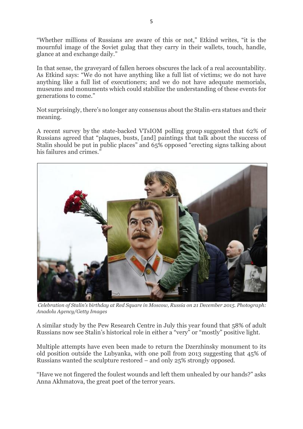"Whether millions of Russians are aware of this or not," Etkind writes, "it is the mournful image of the Soviet gulag that they carry in their wallets, touch, handle, glance at and exchange daily."

In that sense, the graveyard of fallen heroes obscures the lack of a real accountability. As Etkind says: "We do not have anything like a full list of victims; we do not have anything like a full list of executioners; and we do not have adequate memorials, museums and monuments which could stabilize the understanding of these events for generations to come."

Not surprisingly, there's no longer any consensus about the Stalin-era statues and their meaning.

A recent survey by the state-backed VTsIOM polling group suggested that 62% of Russians agreed that "plaques, busts, [and] paintings that talk about the success of Stalin should be put in public places" and 65% opposed "erecting signs talking about his failures and crimes."



*Celebration of Stalin's birthday at Red Square in Moscow, Russia on 21 December 2015. Photograph: Anadolu Agency/Getty Images*

A similar study by the Pew Research Centre in July this year found that 58% of adult Russians now see Stalin's historical role in either a "very" or "mostly" positive light.

Multiple attempts have even been made to return the Dzerzhinsky monument to its old position outside the Lubyanka, with one poll from 2013 suggesting that 45% of Russians wanted the sculpture restored – and only 25% strongly opposed.

"Have we not fingered the foulest wounds and left them unhealed by our hands?" asks Anna Akhmatova, the great poet of the terror years.